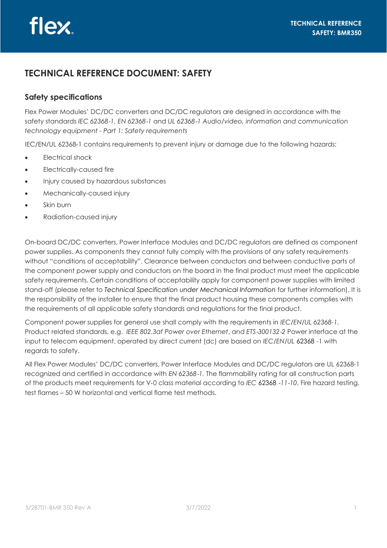## **TECHNICAL REFERENCE DOCUMENT: SAFETY**

## **Safety specifications**

Flex Power Modules' DC/DC converters and DC/DC regulators are designed in accordance with the safety standards *IEC 62368*‑*1, EN 62368*‑*1* and *UL 62368*‑*1 Audio/video, information and communication technology equipment - Part 1: Safety requirements*

IEC/EN/UL 62368‑1 contains requirements to prevent injury or damage due to the following hazards:

- Electrical shock
- Electrically-caused fire
- Injury caused by hazardous substances
- Mechanically-caused injury
- Skin burn
- Radiation-caused injury

On-board DC/DC converters, Power Interface Modules and DC/DC regulators are defined as component power supplies. As components they cannot fully comply with the provisions of any safety requirements without "conditions of acceptability". Clearance between conductors and between conductive parts of the component power supply and conductors on the board in the final product must meet the applicable safety requirements. Certain conditions of acceptability apply for component power supplies with limited stand-off (please refer to *Technical Specification under Mechanical Information for further information*). It is the responsibility of the installer to ensure that the final product housing these components complies with the requirements of all applicable safety standards and regulations for the final product.

Component power supplies for general use shall comply with the requirements in *IEC/EN/UL 62368-1.*  Product related standards, e.g. *IEEE 802.3af Power over Ethernet*, and *ETS*‑*300132*‑*2* Power interface at the input to telecom equipment, operated by direct current (dc) are based on *IEC/EN/UL* 62368 -1 with regards to safety.

All Flex Power Modules' DC/DC converters, Power Interface Modules and DC/DC regulators are UL 62368‑1 recognized and certified in accordance with *EN 62368*‑*1.* The flammability rating for all construction parts of the products meet requirements for V‑0 class material according to *IEC* 62368 ‑*11*‑*10*, Fire hazard testing, test flames – 50 W horizontal and vertical flame test methods.